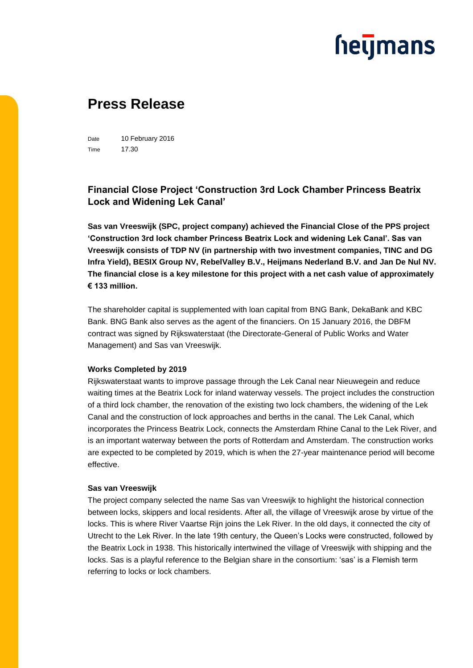## **heymans**

### **Press Release**

Date 10 February 2016 Time 17.30

### **Financial Close Project 'Construction 3rd Lock Chamber Princess Beatrix Lock and Widening Lek Canal'**

**Sas van Vreeswijk (SPC, project company) achieved the Financial Close of the PPS project 'Construction 3rd lock chamber Princess Beatrix Lock and widening Lek Canal'. Sas van Vreeswijk consists of TDP NV (in partnership with two investment companies, TINC and DG Infra Yield), BESIX Group NV, RebelValley B.V., Heijmans Nederland B.V. and Jan De Nul NV. The financial close is a key milestone for this project with a net cash value of approximately € 133 million.**

The shareholder capital is supplemented with loan capital from BNG Bank, DekaBank and KBC Bank. BNG Bank also serves as the agent of the financiers. On 15 January 2016, the DBFM contract was signed by Rijkswaterstaat (the Directorate-General of Public Works and Water Management) and Sas van Vreeswijk.

#### **Works Completed by 2019**

Rijkswaterstaat wants to improve passage through the Lek Canal near Nieuwegein and reduce waiting times at the Beatrix Lock for inland waterway vessels. The project includes the construction of a third lock chamber, the renovation of the existing two lock chambers, the widening of the Lek Canal and the construction of lock approaches and berths in the canal. The Lek Canal, which incorporates the Princess Beatrix Lock, connects the Amsterdam Rhine Canal to the Lek River, and is an important waterway between the ports of Rotterdam and Amsterdam. The construction works are expected to be completed by 2019, which is when the 27-year maintenance period will become effective.

#### **Sas van Vreeswijk**

The project company selected the name Sas van Vreeswijk to highlight the historical connection between locks, skippers and local residents. After all, the village of Vreeswijk arose by virtue of the locks. This is where River Vaartse Rijn joins the Lek River. In the old days, it connected the city of Utrecht to the Lek River. In the late 19th century, the Queen's Locks were constructed, followed by the Beatrix Lock in 1938. This historically intertwined the village of Vreeswijk with shipping and the locks. Sas is a playful reference to the Belgian share in the consortium: 'sas' is a Flemish term referring to locks or lock chambers.